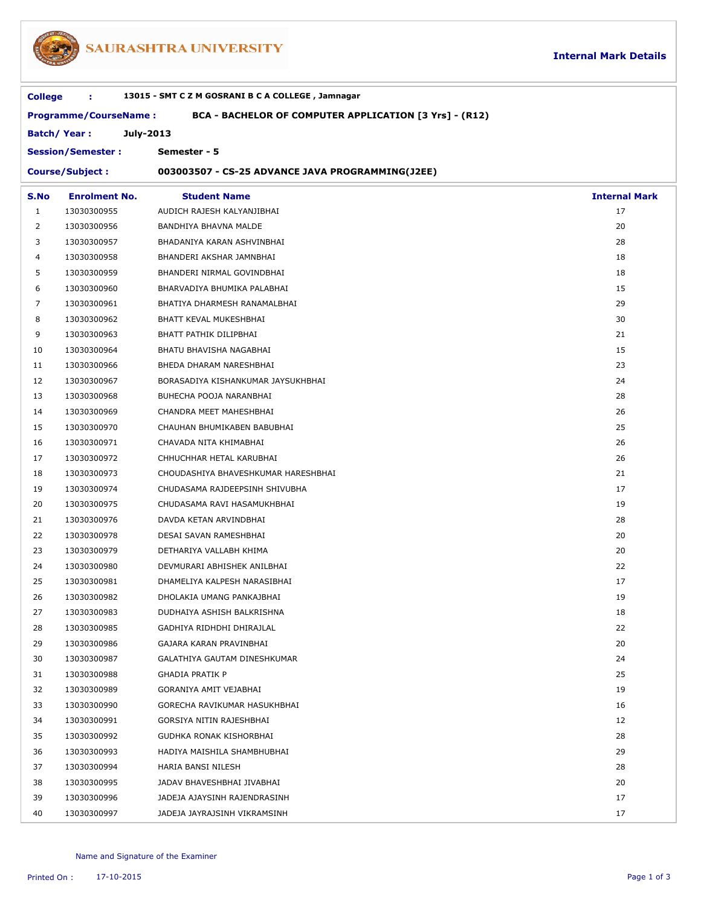

## SAURASHTRA UNIVERSITY

| 13015 - SMT C Z M GOSRANI B C A COLLEGE, Jamnagar<br><b>College</b><br>÷<br><b>Programme/CourseName:</b><br>BCA - BACHELOR OF COMPUTER APPLICATION [3 Yrs] - (R12) |                          |                                                  |                      |  |  |  |  |
|--------------------------------------------------------------------------------------------------------------------------------------------------------------------|--------------------------|--------------------------------------------------|----------------------|--|--|--|--|
|                                                                                                                                                                    |                          |                                                  |                      |  |  |  |  |
|                                                                                                                                                                    | <b>Session/Semester:</b> | Semester - 5                                     |                      |  |  |  |  |
| <b>Course/Subject:</b>                                                                                                                                             |                          | 003003507 - CS-25 ADVANCE JAVA PROGRAMMING(J2EE) |                      |  |  |  |  |
| S.No                                                                                                                                                               | <b>Enrolment No.</b>     | <b>Student Name</b>                              | <b>Internal Mark</b> |  |  |  |  |
| 1                                                                                                                                                                  | 13030300955              | AUDICH RAJESH KALYANJIBHAI                       | 17                   |  |  |  |  |
| 2                                                                                                                                                                  | 13030300956              | BANDHIYA BHAVNA MALDE                            | 20                   |  |  |  |  |
| 3                                                                                                                                                                  | 13030300957              | BHADANIYA KARAN ASHVINBHAI                       | 28                   |  |  |  |  |
| 4                                                                                                                                                                  | 13030300958              | BHANDERI AKSHAR JAMNBHAI                         | 18                   |  |  |  |  |
| 5                                                                                                                                                                  | 13030300959              | BHANDERI NIRMAL GOVINDBHAI                       | 18                   |  |  |  |  |
| 6                                                                                                                                                                  | 13030300960              | BHARVADIYA BHUMIKA PALABHAI                      | 15                   |  |  |  |  |
| 7                                                                                                                                                                  | 13030300961              | BHATIYA DHARMESH RANAMALBHAI                     | 29                   |  |  |  |  |
| 8                                                                                                                                                                  | 13030300962              | BHATT KEVAL MUKESHBHAI                           | 30                   |  |  |  |  |
| 9                                                                                                                                                                  | 13030300963              | BHATT PATHIK DILIPBHAI                           | 21                   |  |  |  |  |
| 10                                                                                                                                                                 | 13030300964              | BHATU BHAVISHA NAGABHAI                          | 15                   |  |  |  |  |
| 11                                                                                                                                                                 | 13030300966              | BHEDA DHARAM NARESHBHAI                          | 23                   |  |  |  |  |
| 12                                                                                                                                                                 | 13030300967              | BORASADIYA KISHANKUMAR JAYSUKHBHAI               | 24                   |  |  |  |  |
| 13                                                                                                                                                                 | 13030300968              | BUHECHA POOJA NARANBHAI                          | 28                   |  |  |  |  |
| 14                                                                                                                                                                 | 13030300969              | CHANDRA MEET MAHESHBHAI                          | 26                   |  |  |  |  |
| 15                                                                                                                                                                 | 13030300970              | CHAUHAN BHUMIKABEN BABUBHAI                      | 25                   |  |  |  |  |
| 16                                                                                                                                                                 | 13030300971              | CHAVADA NITA KHIMABHAI                           | 26                   |  |  |  |  |
| 17                                                                                                                                                                 | 13030300972              | CHHUCHHAR HETAL KARUBHAI                         | 26                   |  |  |  |  |
| 18                                                                                                                                                                 | 13030300973              | CHOUDASHIYA BHAVESHKUMAR HARESHBHAI              | 21                   |  |  |  |  |
| 19                                                                                                                                                                 | 13030300974              | CHUDASAMA RAJDEEPSINH SHIVUBHA                   | 17                   |  |  |  |  |
| 20                                                                                                                                                                 | 13030300975              | CHUDASAMA RAVI HASAMUKHBHAI                      | 19                   |  |  |  |  |
| 21                                                                                                                                                                 | 13030300976              | DAVDA KETAN ARVINDBHAI                           | 28                   |  |  |  |  |
| 22                                                                                                                                                                 | 13030300978              | DESAI SAVAN RAMESHBHAI                           | 20                   |  |  |  |  |
| 23                                                                                                                                                                 | 13030300979              | DETHARIYA VALLABH KHIMA                          | 20                   |  |  |  |  |
| 24                                                                                                                                                                 | 13030300980              | DEVMURARI ABHISHEK ANILBHAI                      | 22                   |  |  |  |  |
| 25                                                                                                                                                                 | 13030300981              | DHAMELIYA KALPESH NARASIBHAI                     | 17                   |  |  |  |  |
| 26                                                                                                                                                                 | 13030300982              | DHOLAKIA UMANG PANKAJBHAI                        | 19                   |  |  |  |  |
| 27                                                                                                                                                                 | 13030300983              | DUDHAIYA ASHISH BALKRISHNA                       | 18                   |  |  |  |  |
| 28                                                                                                                                                                 | 13030300985              | GADHIYA RIDHDHI DHIRAJLAL                        | 22                   |  |  |  |  |
| 29                                                                                                                                                                 | 13030300986              | GAJARA KARAN PRAVINBHAI                          | 20                   |  |  |  |  |
| 30                                                                                                                                                                 | 13030300987              | GALATHIYA GAUTAM DINESHKUMAR                     | 24                   |  |  |  |  |
| 31                                                                                                                                                                 | 13030300988              | <b>GHADIA PRATIK P</b>                           | 25                   |  |  |  |  |
| 32                                                                                                                                                                 | 13030300989              | GORANIYA AMIT VEJABHAI                           | 19                   |  |  |  |  |
| 33                                                                                                                                                                 | 13030300990              | GORECHA RAVIKUMAR HASUKHBHAI                     | 16                   |  |  |  |  |
| 34                                                                                                                                                                 | 13030300991              | GORSIYA NITIN RAJESHBHAI                         | 12                   |  |  |  |  |
| 35                                                                                                                                                                 | 13030300992              | GUDHKA RONAK KISHORBHAI                          | 28                   |  |  |  |  |
| 36                                                                                                                                                                 | 13030300993              | HADIYA MAISHILA SHAMBHUBHAI                      | 29                   |  |  |  |  |
| 37                                                                                                                                                                 | 13030300994              | HARIA BANSI NILESH                               | 28                   |  |  |  |  |
| 38                                                                                                                                                                 | 13030300995              | JADAV BHAVESHBHAI JIVABHAI                       | 20                   |  |  |  |  |
| 39                                                                                                                                                                 | 13030300996              | JADEJA AJAYSINH RAJENDRASINH                     | 17                   |  |  |  |  |
|                                                                                                                                                                    |                          |                                                  |                      |  |  |  |  |

13030300997 JADEJA JAYRAJSINH VIKRAMSINH 17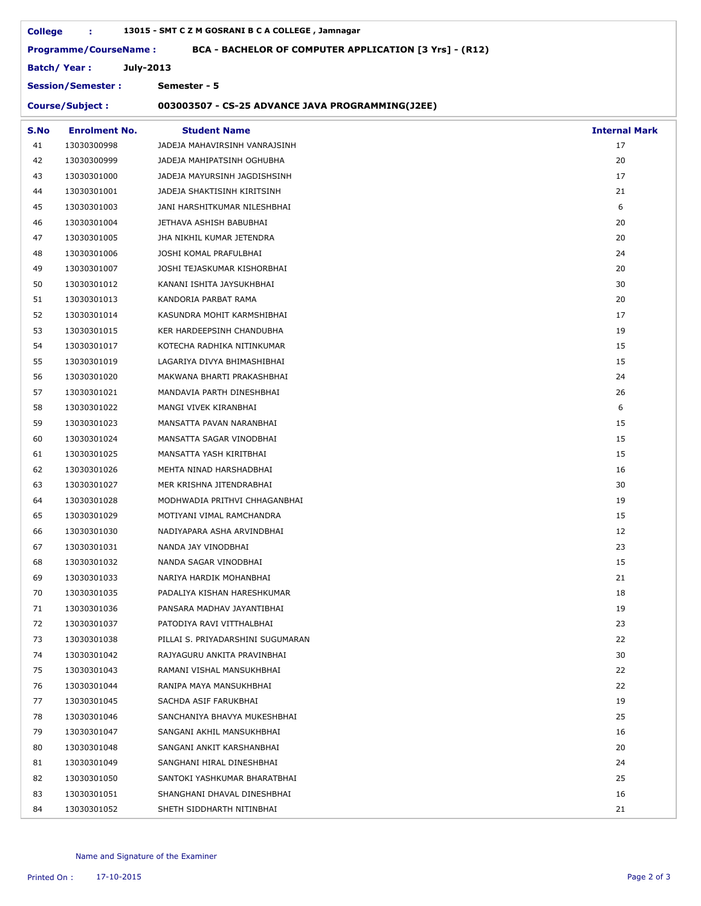| <b>College</b>                                                                         | ÷.                       | 13015 - SMT C Z M GOSRANI B C A COLLEGE, Jamnagar |                      |  |  |  |  |  |
|----------------------------------------------------------------------------------------|--------------------------|---------------------------------------------------|----------------------|--|--|--|--|--|
| <b>Programme/CourseName:</b><br>BCA - BACHELOR OF COMPUTER APPLICATION [3 Yrs] - (R12) |                          |                                                   |                      |  |  |  |  |  |
|                                                                                        | July-2013<br>Batch/Year: |                                                   |                      |  |  |  |  |  |
|                                                                                        | <b>Session/Semester:</b> | Semester - 5                                      |                      |  |  |  |  |  |
| <b>Course/Subject:</b><br>003003507 - CS-25 ADVANCE JAVA PROGRAMMING(J2EE)             |                          |                                                   |                      |  |  |  |  |  |
| S.No                                                                                   | <b>Enrolment No.</b>     | <b>Student Name</b>                               | <b>Internal Mark</b> |  |  |  |  |  |
| 41                                                                                     | 13030300998              | JADEJA MAHAVIRSINH VANRAJSINH                     | 17                   |  |  |  |  |  |
| 42                                                                                     | 13030300999              | JADEJA MAHIPATSINH OGHUBHA                        | 20                   |  |  |  |  |  |
| 43                                                                                     | 13030301000              | JADEJA MAYURSINH JAGDISHSINH                      | 17                   |  |  |  |  |  |
| 44                                                                                     | 13030301001              | JADEJA SHAKTISINH KIRITSINH                       | 21                   |  |  |  |  |  |
| 45                                                                                     | 13030301003              | JANI HARSHITKUMAR NILESHBHAI                      | 6                    |  |  |  |  |  |
| 46                                                                                     | 13030301004              | JETHAVA ASHISH BABUBHAI                           | 20                   |  |  |  |  |  |
| 47                                                                                     | 13030301005              | JHA NIKHIL KUMAR JETENDRA                         | 20                   |  |  |  |  |  |
| 48                                                                                     | 13030301006              | JOSHI KOMAL PRAFULBHAI                            | 24                   |  |  |  |  |  |
| 49                                                                                     | 13030301007              | JOSHI TEJASKUMAR KISHORBHAI                       | 20                   |  |  |  |  |  |
| 50                                                                                     | 13030301012              | KANANI ISHITA JAYSUKHBHAI                         | 30                   |  |  |  |  |  |
| 51                                                                                     | 13030301013              | KANDORIA PARBAT RAMA                              | 20                   |  |  |  |  |  |
| 52                                                                                     | 13030301014              | KASUNDRA MOHIT KARMSHIBHAI                        | 17                   |  |  |  |  |  |
| 53                                                                                     | 13030301015              | KER HARDEEPSINH CHANDUBHA                         | 19                   |  |  |  |  |  |
| 54                                                                                     | 13030301017              | KOTECHA RADHIKA NITINKUMAR                        | 15                   |  |  |  |  |  |
| 55                                                                                     | 13030301019              | LAGARIYA DIVYA BHIMASHIBHAI                       | 15                   |  |  |  |  |  |
| 56                                                                                     | 13030301020              | MAKWANA BHARTI PRAKASHBHAI                        | 24                   |  |  |  |  |  |
| 57                                                                                     | 13030301021              | MANDAVIA PARTH DINESHBHAI                         | 26                   |  |  |  |  |  |
| 58                                                                                     | 13030301022              | MANGI VIVEK KIRANBHAI                             | 6                    |  |  |  |  |  |
| 59                                                                                     | 13030301023              | MANSATTA PAVAN NARANBHAI                          | 15                   |  |  |  |  |  |
| 60                                                                                     | 13030301024              | MANSATTA SAGAR VINODBHAI                          | 15                   |  |  |  |  |  |
| 61                                                                                     | 13030301025              | MANSATTA YASH KIRITBHAI                           | 15                   |  |  |  |  |  |
| 62                                                                                     | 13030301026              | MEHTA NINAD HARSHADBHAI                           | 16                   |  |  |  |  |  |
| 63                                                                                     | 13030301027              | MER KRISHNA JITENDRABHAI                          | 30                   |  |  |  |  |  |
| 64                                                                                     | 13030301028              | MODHWADIA PRITHVI CHHAGANBHAI                     | 19                   |  |  |  |  |  |
| 65                                                                                     | 13030301029              | MOTIYANI VIMAL RAMCHANDRA                         | 15                   |  |  |  |  |  |
| 66                                                                                     | 13030301030              | NADIYAPARA ASHA ARVINDBHAI                        | 12                   |  |  |  |  |  |
| 67                                                                                     | 13030301031              | NANDA JAY VINODBHAI                               | 23                   |  |  |  |  |  |
| 68                                                                                     | 13030301032              | NANDA SAGAR VINODBHAI                             | 15                   |  |  |  |  |  |
| 69                                                                                     | 13030301033              | NARIYA HARDIK MOHANBHAI                           | 21                   |  |  |  |  |  |
| 70                                                                                     | 13030301035              | PADALIYA KISHAN HARESHKUMAR                       | 18                   |  |  |  |  |  |
| 71                                                                                     | 13030301036              | PANSARA MADHAV JAYANTIBHAI                        | 19                   |  |  |  |  |  |
| 72                                                                                     | 13030301037              | PATODIYA RAVI VITTHALBHAI                         | 23                   |  |  |  |  |  |
| 73                                                                                     | 13030301038              | PILLAI S. PRIYADARSHINI SUGUMARAN                 | 22                   |  |  |  |  |  |
| 74                                                                                     | 13030301042              | RAJYAGURU ANKITA PRAVINBHAI                       | 30                   |  |  |  |  |  |
| 75                                                                                     | 13030301043              | RAMANI VISHAL MANSUKHBHAI                         | 22                   |  |  |  |  |  |
| 76                                                                                     | 13030301044              | RANIPA MAYA MANSUKHBHAI                           | 22                   |  |  |  |  |  |
| 77                                                                                     | 13030301045              | SACHDA ASIF FARUKBHAI                             | 19                   |  |  |  |  |  |
| 78                                                                                     | 13030301046              | SANCHANIYA BHAVYA MUKESHBHAI                      | 25                   |  |  |  |  |  |
| 79                                                                                     | 13030301047              | SANGANI AKHIL MANSUKHBHAI                         | 16                   |  |  |  |  |  |
| 80                                                                                     | 13030301048              | SANGANI ANKIT KARSHANBHAI                         | 20                   |  |  |  |  |  |
| 81                                                                                     | 13030301049              | SANGHANI HIRAL DINESHBHAI                         | 24                   |  |  |  |  |  |
| 82                                                                                     | 13030301050              | SANTOKI YASHKUMAR BHARATBHAI                      | 25                   |  |  |  |  |  |
| 83                                                                                     | 13030301051              | SHANGHANI DHAVAL DINESHBHAI                       | 16                   |  |  |  |  |  |
| 84                                                                                     | 13030301052              | SHETH SIDDHARTH NITINBHAI                         | 21                   |  |  |  |  |  |